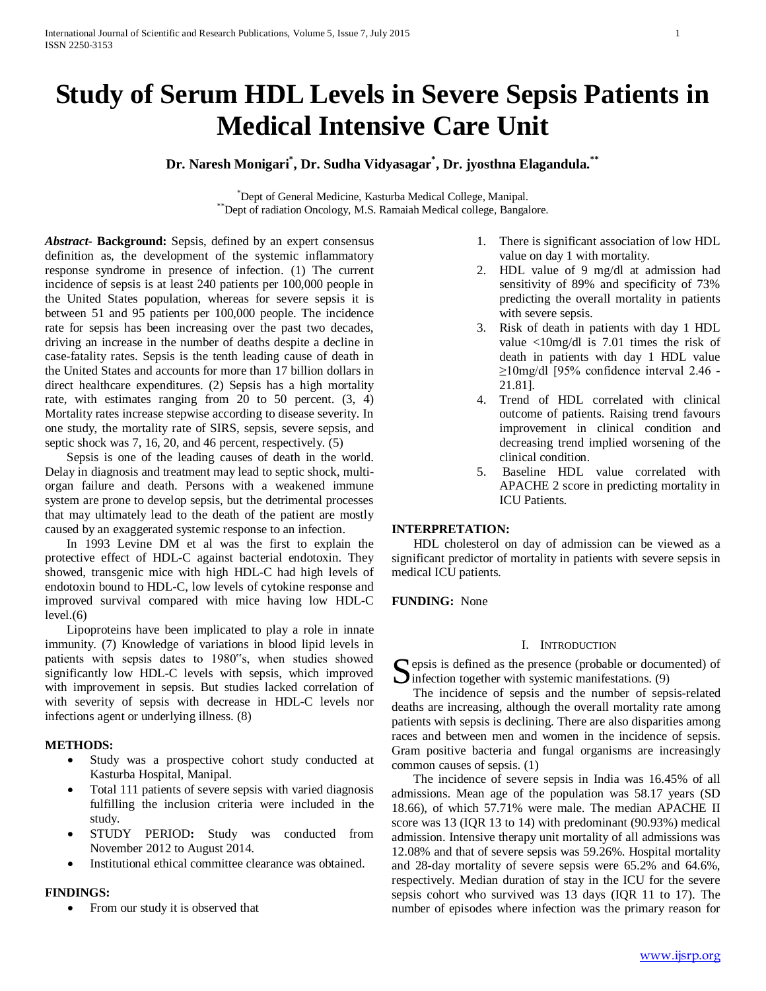# **Study of Serum HDL Levels in Severe Sepsis Patients in Medical Intensive Care Unit**

## **Dr. Naresh Monigari\* , Dr. Sudha Vidyasagar\* , Dr. jyosthna Elagandula.\*\***

\*Dept of General Medicine, Kasturba Medical College, Manipal. \*\*Dept of radiation Oncology, M.S. Ramaiah Medical college, Bangalore.

*Abstract***- Background:** Sepsis, defined by an expert consensus definition as, the development of the systemic inflammatory response syndrome in presence of infection. (1) The current incidence of sepsis is at least 240 patients per 100,000 people in the United States population, whereas for severe sepsis it is between 51 and 95 patients per 100,000 people. The incidence rate for sepsis has been increasing over the past two decades, driving an increase in the number of deaths despite a decline in case-fatality rates. Sepsis is the tenth leading cause of death in the United States and accounts for more than 17 billion dollars in direct healthcare expenditures. (2) Sepsis has a high mortality rate, with estimates ranging from 20 to 50 percent. (3, 4) Mortality rates increase stepwise according to disease severity. In one study, the mortality rate of SIRS, sepsis, severe sepsis, and septic shock was 7, 16, 20, and 46 percent, respectively. (5)

 Sepsis is one of the leading causes of death in the world. Delay in diagnosis and treatment may lead to septic shock, multiorgan failure and death. Persons with a weakened immune system are prone to develop sepsis, but the detrimental processes that may ultimately lead to the death of the patient are mostly caused by an exaggerated systemic response to an infection.

 In 1993 Levine DM et al was the first to explain the protective effect of HDL-C against bacterial endotoxin. They showed, transgenic mice with high HDL-C had high levels of endotoxin bound to HDL-C, low levels of cytokine response and improved survival compared with mice having low HDL-C  $level.(6)$ 

 Lipoproteins have been implicated to play a role in innate immunity. (7) Knowledge of variations in blood lipid levels in patients with sepsis dates to 1980"s, when studies showed significantly low HDL-C levels with sepsis, which improved with improvement in sepsis. But studies lacked correlation of with severity of sepsis with decrease in HDL-C levels nor infections agent or underlying illness. (8)

## **METHODS:**

- Study was a prospective cohort study conducted at Kasturba Hospital, Manipal.
- Total 111 patients of severe sepsis with varied diagnosis fulfilling the inclusion criteria were included in the study.
- STUDY PERIOD**:** Study was conducted from November 2012 to August 2014.
- Institutional ethical committee clearance was obtained.

#### **FINDINGS:**

From our study it is observed that

- 1. There is significant association of low HDL value on day 1 with mortality.
- 2. HDL value of 9 mg/dl at admission had sensitivity of 89% and specificity of 73% predicting the overall mortality in patients with severe sepsis.
- 3. Risk of death in patients with day 1 HDL value <10mg/dl is 7.01 times the risk of death in patients with day 1 HDL value ≥10mg/dl [95% confidence interval 2.46 - 21.81].
- 4. Trend of HDL correlated with clinical outcome of patients. Raising trend favours improvement in clinical condition and decreasing trend implied worsening of the clinical condition.
- 5. Baseline HDL value correlated with APACHE 2 score in predicting mortality in ICU Patients.

## **INTERPRETATION:**

 HDL cholesterol on day of admission can be viewed as a significant predictor of mortality in patients with severe sepsis in medical ICU patients.

**FUNDING:** None

#### I. INTRODUCTION

 $\Gamma$  epsis is defined as the presence (probable or documented) of  $\sum$  epsis is defined as the presence (probable or docum<br>infection together with systemic manifestations. (9)

 The incidence of sepsis and the number of sepsis-related deaths are increasing, although the overall mortality rate among patients with sepsis is declining. There are also disparities among races and between men and women in the incidence of sepsis. Gram positive bacteria and fungal organisms are increasingly common causes of sepsis. (1)

 The incidence of severe sepsis in India was 16.45% of all admissions. Mean age of the population was 58.17 years (SD 18.66), of which 57.71% were male. The median APACHE II score was 13 (IQR 13 to 14) with predominant (90.93%) medical admission. Intensive therapy unit mortality of all admissions was 12.08% and that of severe sepsis was 59.26%. Hospital mortality and 28-day mortality of severe sepsis were 65.2% and 64.6%, respectively. Median duration of stay in the ICU for the severe sepsis cohort who survived was 13 days (IQR 11 to 17). The number of episodes where infection was the primary reason for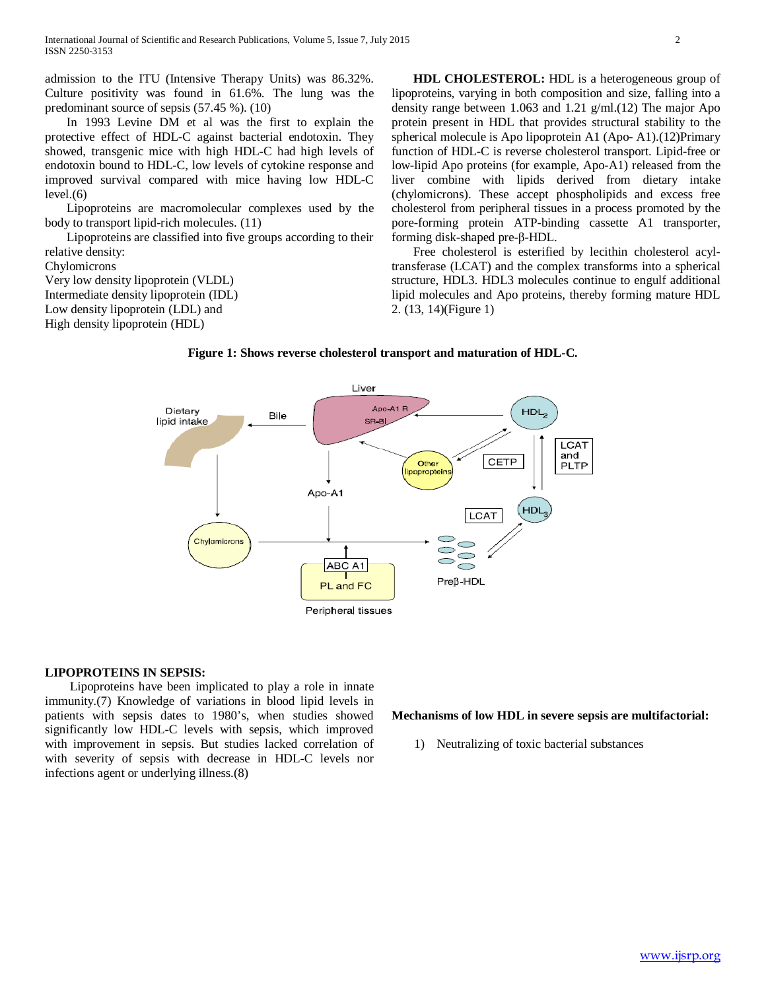admission to the ITU (Intensive Therapy Units) was 86.32%. Culture positivity was found in 61.6%. The lung was the predominant source of sepsis (57.45 %). (10)

 In 1993 Levine DM et al was the first to explain the protective effect of HDL-C against bacterial endotoxin. They showed, transgenic mice with high HDL-C had high levels of endotoxin bound to HDL-C, low levels of cytokine response and improved survival compared with mice having low HDL-C level.(6)

 Lipoproteins are macromolecular complexes used by the body to transport lipid-rich molecules. (11)

 Lipoproteins are classified into five groups according to their relative density:

Chylomicrons

Very low density lipoprotein (VLDL) Intermediate density lipoprotein (IDL) Low density lipoprotein (LDL) and High density lipoprotein (HDL)

 **HDL CHOLESTEROL:** HDL is a heterogeneous group of lipoproteins, varying in both composition and size, falling into a density range between 1.063 and 1.21 g/ml.(12) The major Apo protein present in HDL that provides structural stability to the spherical molecule is Apo lipoprotein A1 (Apo- A1).(12)Primary function of HDL-C is reverse cholesterol transport. Lipid-free or low-lipid Apo proteins (for example, Apo-A1) released from the liver combine with lipids derived from dietary intake (chylomicrons). These accept phospholipids and excess free cholesterol from peripheral tissues in a process promoted by the pore-forming protein ATP-binding cassette A1 transporter, forming disk-shaped pre-β-HDL.

 Free cholesterol is esterified by lecithin cholesterol acyltransferase (LCAT) and the complex transforms into a spherical structure, HDL3. HDL3 molecules continue to engulf additional lipid molecules and Apo proteins, thereby forming mature HDL 2. (13, 14)(Figure 1)



**Figure 1: Shows reverse cholesterol transport and maturation of HDL-C.**

#### **LIPOPROTEINS IN SEPSIS:**

 Lipoproteins have been implicated to play a role in innate immunity.(7) Knowledge of variations in blood lipid levels in patients with sepsis dates to 1980's, when studies showed significantly low HDL-C levels with sepsis, which improved with improvement in sepsis. But studies lacked correlation of with severity of sepsis with decrease in HDL-C levels nor infections agent or underlying illness.(8)

#### **Mechanisms of low HDL in severe sepsis are multifactorial:**

1) Neutralizing of toxic bacterial substances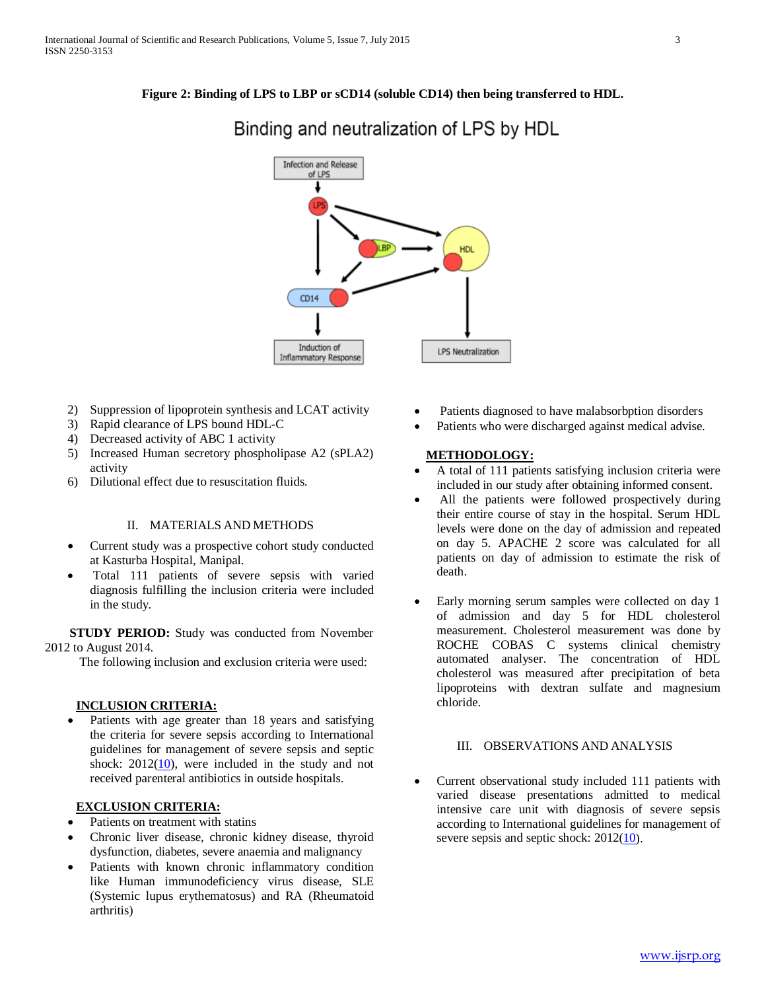**Figure 2: Binding of LPS to LBP or sCD14 (soluble CD14) then being transferred to HDL.**



## Binding and neutralization of LPS by HDL

- 2) Suppression of lipoprotein synthesis and LCAT activity
- 3) Rapid clearance of LPS bound HDL-C
- 4) Decreased activity of ABC 1 activity
- 5) Increased Human secretory phospholipase A2 (sPLA2) activity
- 6) Dilutional effect due to resuscitation fluids.

## II. MATERIALS AND METHODS

- Current study was a prospective cohort study conducted at Kasturba Hospital, Manipal.
- Total 111 patients of severe sepsis with varied diagnosis fulfilling the inclusion criteria were included in the study.

 **STUDY PERIOD:** Study was conducted from November 2012 to August 2014.

The following inclusion and exclusion criteria were used:

## **INCLUSION CRITERIA:**

Patients with age greater than 18 years and satisfying the criteria for severe sepsis according to International guidelines for management of severe sepsis and septic shock:  $2012(10)$ , were included in the study and not received parenteral antibiotics in outside hospitals.

## **EXCLUSION CRITERIA:**

- Patients on treatment with statins
- Chronic liver disease, chronic kidney disease, thyroid dysfunction, diabetes, severe anaemia and malignancy
- Patients with known chronic inflammatory condition like Human immunodeficiency virus disease, SLE (Systemic lupus erythematosus) and RA (Rheumatoid arthritis)
- Patients diagnosed to have malabsorbption disorders
- Patients who were discharged against medical advise.

## **METHODOLOGY:**

- A total of 111 patients satisfying inclusion criteria were included in our study after obtaining informed consent.
- All the patients were followed prospectively during their entire course of stay in the hospital. Serum HDL levels were done on the day of admission and repeated on day 5. APACHE 2 score was calculated for all patients on day of admission to estimate the risk of death.
- Early morning serum samples were collected on day 1 of admission and day 5 for HDL cholesterol measurement. Cholesterol measurement was done by ROCHE COBAS C systems clinical chemistry automated analyser. The concentration of HDL cholesterol was measured after precipitation of beta lipoproteins with dextran sulfate and magnesium chloride.

## III. OBSERVATIONS AND ANALYSIS

• Current observational study included 111 patients with varied disease presentations admitted to medical intensive care unit with diagnosis of severe sepsis according to International guidelines for management of severe sepsis and septic shock:  $2012(10)$ .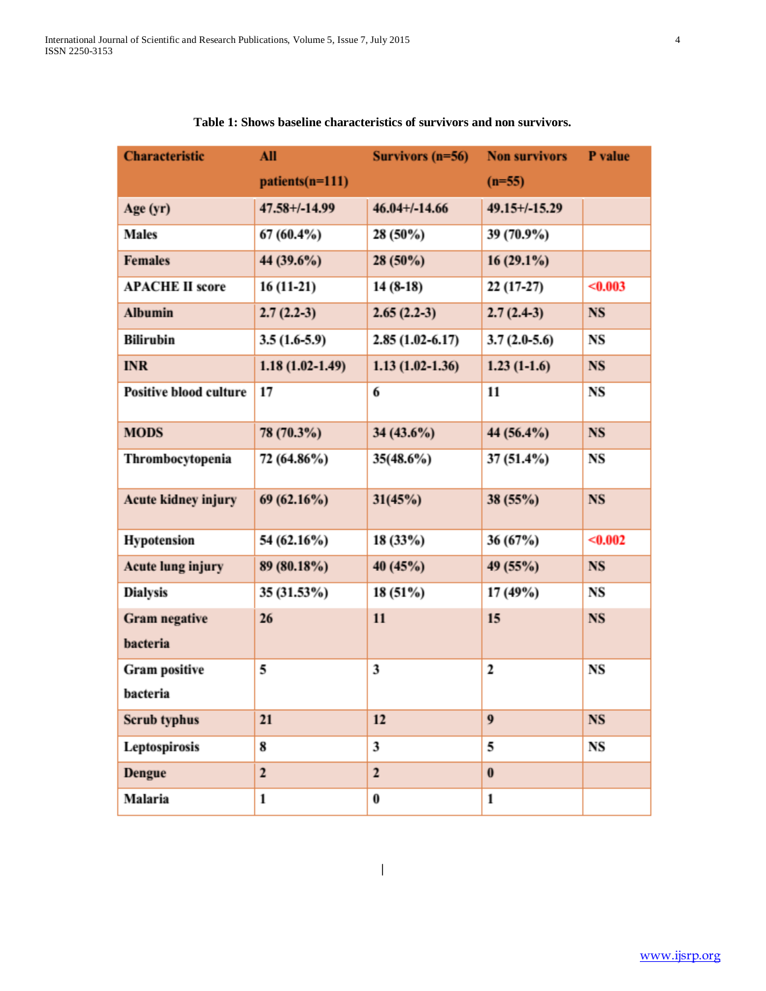| <b>Characteristic</b>            | All                | Survivors $(n=56)$ | <b>Non survivors</b> | P value   |
|----------------------------------|--------------------|--------------------|----------------------|-----------|
|                                  | patients(n=111)    |                    | $(n=55)$             |           |
| Age (yr)                         | $47.58 + (-14.99)$ | $46.04 + (-14.66)$ | $49.15+/-15.29$      |           |
| <b>Males</b>                     | 67 (60.4%)         | $28(50\%)$         | 39 (70.9%)           |           |
| <b>Females</b>                   | 44 (39.6%)         | $28(50\%)$         | $16(29.1\%)$         |           |
| <b>APACHE II score</b>           | $16(11-21)$        | $14(8-18)$         | $22(17-27)$          | < 0.003   |
| <b>Albumin</b>                   | $2.7(2.2-3)$       | $2.65(2.2-3)$      | $2.7(2.4-3)$         | NS        |
| <b>Bilirubin</b>                 | $3.5(1.6-5.9)$     | $2.85(1.02-6.17)$  | $3.7(2.0-5.6)$       | NS        |
| <b>INR</b>                       | $1.18(1.02-1.49)$  | $1.13(1.02-1.36)$  | $1.23(1-1.6)$        | <b>NS</b> |
| <b>Positive blood culture</b>    | 17                 | 6                  | 11                   | NS        |
| <b>MODS</b>                      | 78 (70.3%)         | $34(43.6\%)$       | 44 (56.4%)           | <b>NS</b> |
| Thrombocytopenia                 | 72 (64.86%)        | 35(48.6%)          | 37 (51.4%)           | NS        |
| Acute kidney injury              | 69(62.16%)         | 31(45%)            | 38(55%)              | <b>NS</b> |
| <b>Hypotension</b>               | 54 (62.16%)        | 18(33%)            | 36(67%)              | < 0.002   |
| Acute lung injury                | 89 (80.18%)        | 40(45%)            | 49 (55%)             | <b>NS</b> |
| <b>Dialysis</b>                  | 35 (31.53%)        | 18 (51%)           | 17 (49%)             | NS        |
| <b>Gram negative</b><br>bacteria | 26                 | 11                 | 15                   | <b>NS</b> |
| <b>Gram positive</b>             | 5                  | 3                  | 2                    | NS        |
| bacteria                         |                    |                    |                      |           |
| Scrub typhus                     | 21                 | 12                 | 9                    | NS        |
| Leptospirosis                    | 8                  | 3                  | 5                    | NS        |
| Dengue                           | $\overline{c}$     | $\mathbf{2}$       | $\bf{0}$             |           |
| Malaria                          | 1                  | 0                  | 1                    |           |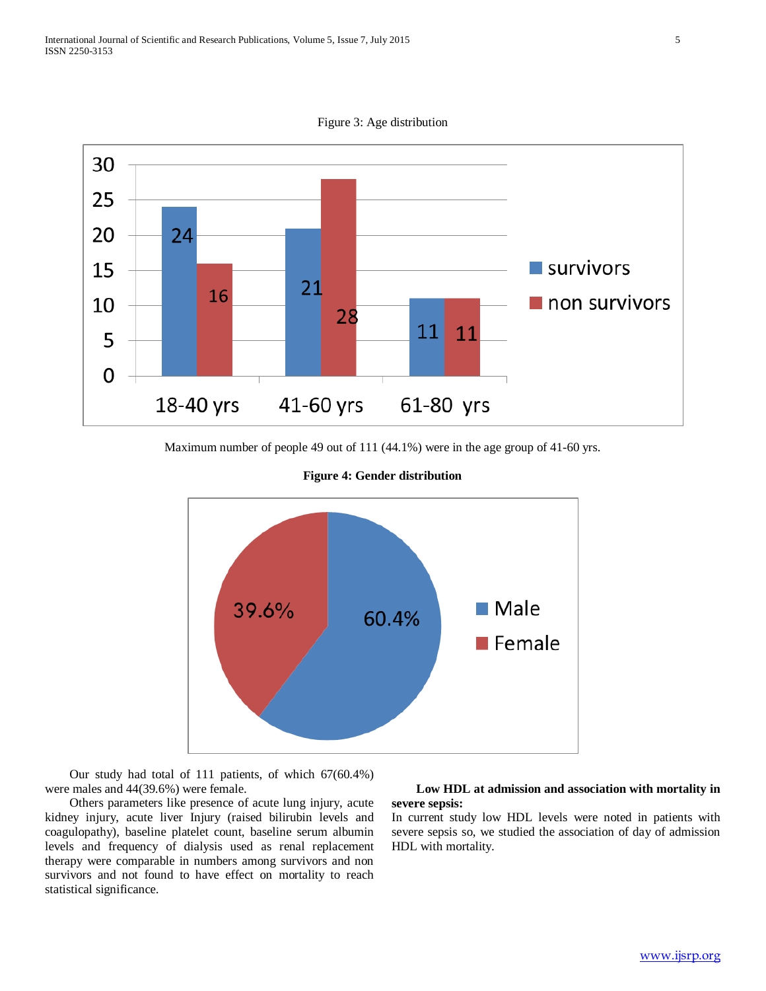Figure 3: Age distribution



Maximum number of people 49 out of 111 (44.1%) were in the age group of 41-60 yrs.





 Our study had total of 111 patients, of which 67(60.4%) were males and 44(39.6%) were female.

 Others parameters like presence of acute lung injury, acute kidney injury, acute liver Injury (raised bilirubin levels and coagulopathy), baseline platelet count, baseline serum albumin levels and frequency of dialysis used as renal replacement therapy were comparable in numbers among survivors and non survivors and not found to have effect on mortality to reach statistical significance.

## **Low HDL at admission and association with mortality in severe sepsis:**

In current study low HDL levels were noted in patients with severe sepsis so, we studied the association of day of admission HDL with mortality.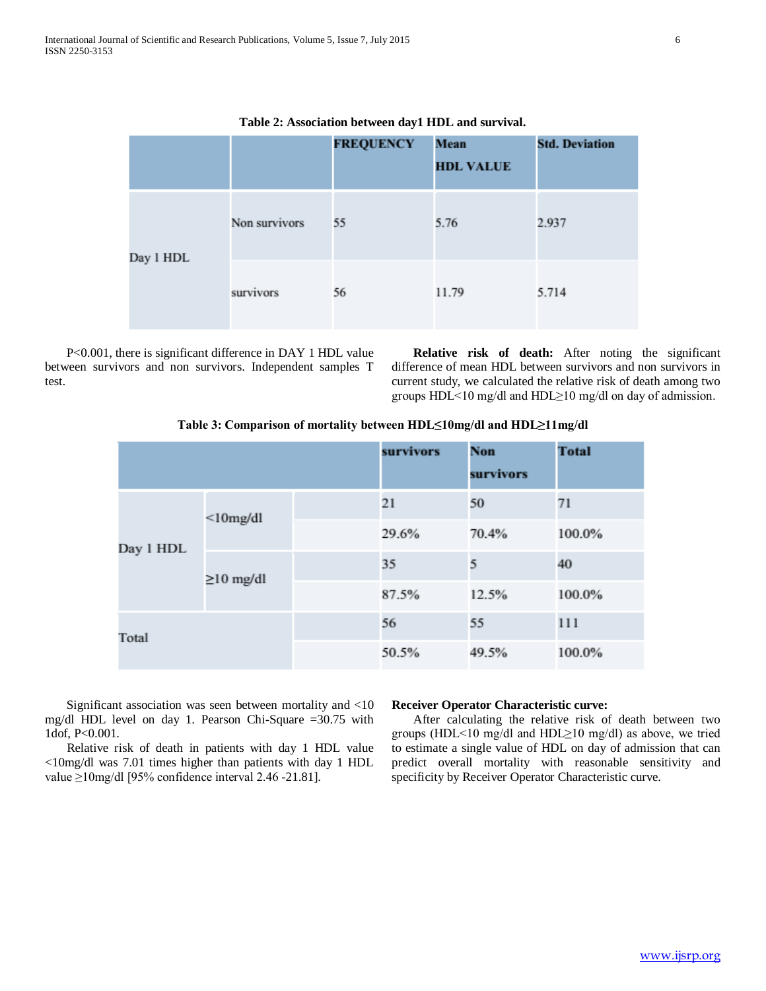|           |               | <b>FREQUENCY</b> | Mean<br><b>HDL VALUE</b> | <b>Std. Deviation</b> |
|-----------|---------------|------------------|--------------------------|-----------------------|
| Day 1 HDL | Non survivors | 55               | 5.76                     | 2.937                 |
|           | survivors     | 56               | 11.79                    | 5.714                 |

**Table 2: Association between day1 HDL and survival.**

 P<0.001, there is significant difference in DAY 1 HDL value between survivors and non survivors. Independent samples T test.

 **Relative risk of death:** After noting the significant difference of mean HDL between survivors and non survivors in current study, we calculated the relative risk of death among two groups HDL<10 mg/dl and HDL≥10 mg/dl on day of admission.

#### **Table 3: Comparison of mortality between HDL≤10mg/dl and HDL≥11mg/dl**

|           |                 |       | survivors | <b>Non</b><br>survivors | <b>Total</b> |
|-----------|-----------------|-------|-----------|-------------------------|--------------|
| Day 1 HDL | $<$ 10mg/dl     | 21    | 50        | 71                      |              |
|           |                 | 29.6% | 70.4%     | 100.0%                  |              |
|           | $\geq$ 10 mg/dl | 35    | 5         | 40                      |              |
|           |                 | 87.5% | 12.5%     | 100.0%                  |              |
| Total     |                 |       | 56        | 55                      | 111          |
|           |                 |       | 50.5%     | 49.5%                   | 100.0%       |

 Significant association was seen between mortality and <10 mg/dl HDL level on day 1. Pearson Chi-Square =30.75 with 1dof, P<0.001.

 Relative risk of death in patients with day 1 HDL value <10mg/dl was 7.01 times higher than patients with day 1 HDL value ≥10mg/dl [95% confidence interval 2.46 -21.81].

#### **Receiver Operator Characteristic curve:**

 After calculating the relative risk of death between two groups (HDL<10 mg/dl and HDL≥10 mg/dl) as above, we tried to estimate a single value of HDL on day of admission that can predict overall mortality with reasonable sensitivity and specificity by Receiver Operator Characteristic curve.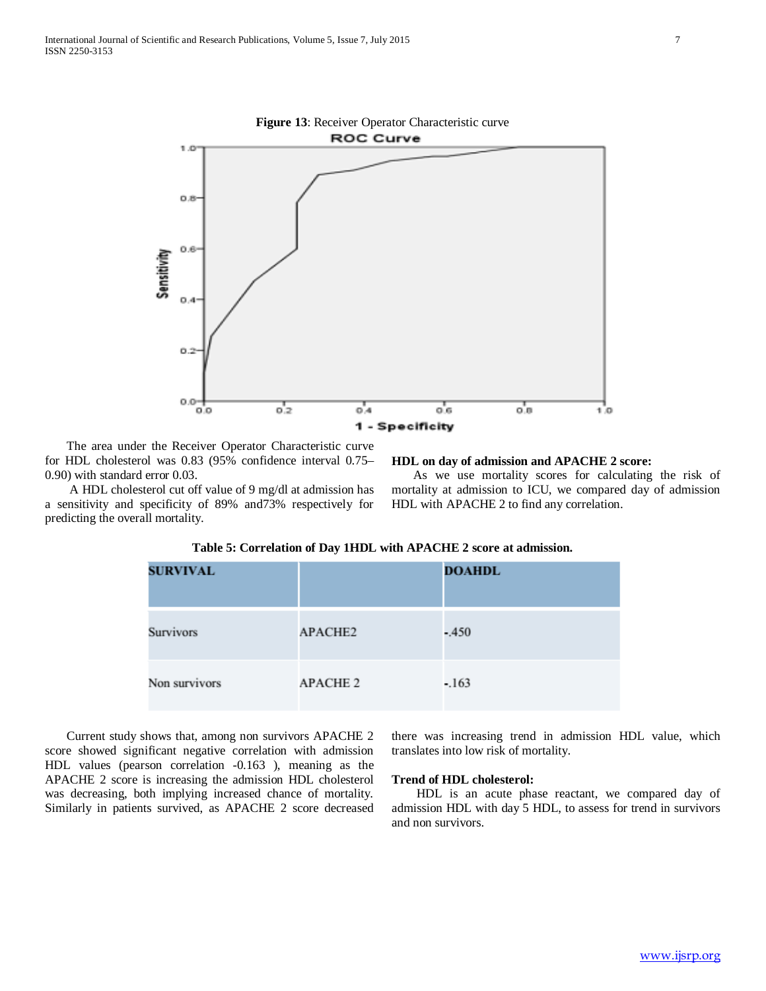

 The area under the Receiver Operator Characteristic curve for HDL cholesterol was 0.83 (95% confidence interval 0.75– 0.90) with standard error 0.03.

 A HDL cholesterol cut off value of 9 mg/dl at admission has a sensitivity and specificity of 89% and73% respectively for predicting the overall mortality.

#### **HDL on day of admission and APACHE 2 score:**

 As we use mortality scores for calculating the risk of mortality at admission to ICU, we compared day of admission HDL with APACHE 2 to find any correlation.

| <b>SURVIVAL</b> |                 | <b>DOAHDL</b> |
|-----------------|-----------------|---------------|
| Survivors       | APACHE2         | $-.450$       |
| Non survivors   | <b>APACHE 2</b> | $-.163$       |

#### **Table 5: Correlation of Day 1HDL with APACHE 2 score at admission.**

 Current study shows that, among non survivors APACHE 2 score showed significant negative correlation with admission HDL values (pearson correlation -0.163 ), meaning as the APACHE 2 score is increasing the admission HDL cholesterol was decreasing, both implying increased chance of mortality. Similarly in patients survived, as APACHE 2 score decreased

there was increasing trend in admission HDL value, which translates into low risk of mortality.

#### **Trend of HDL cholesterol:**

 HDL is an acute phase reactant, we compared day of admission HDL with day 5 HDL, to assess for trend in survivors and non survivors.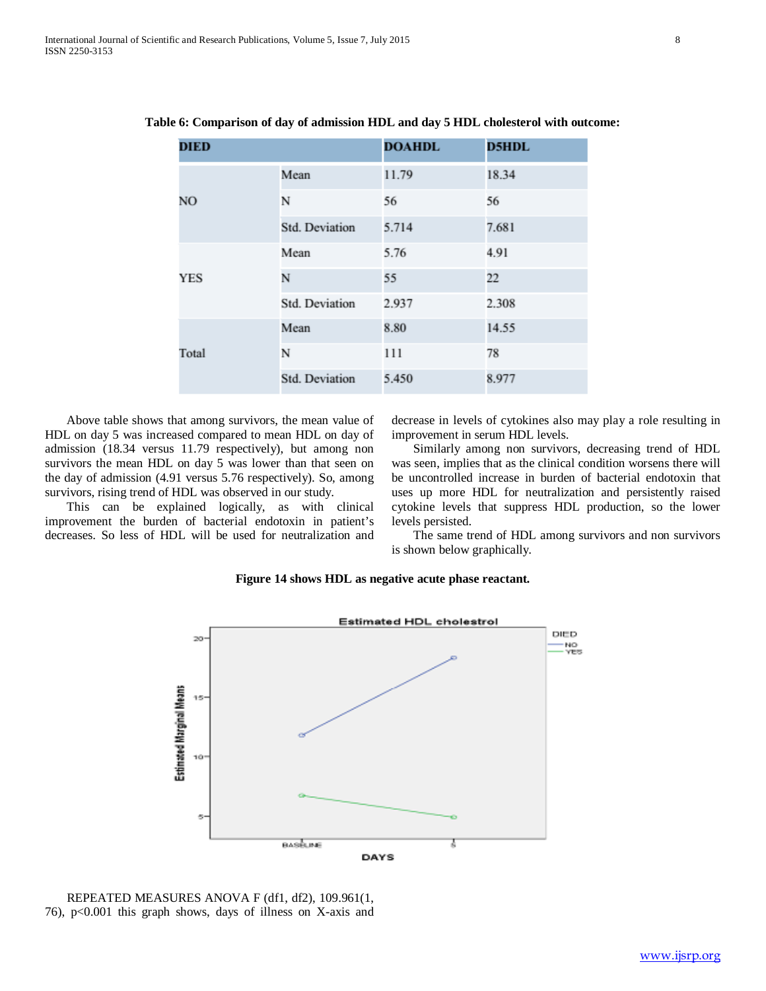| <b>DIED</b> |                       | <b>DOAHDL</b> | <b>D5HDL</b> |
|-------------|-----------------------|---------------|--------------|
| NO.         | Mean                  | 11.79         | 18.34        |
|             | N                     | 56            | 56           |
|             | Std. Deviation        | 5.714         | 7.681        |
| <b>YES</b>  | Mean                  | 5.76          | 4.91         |
|             | N                     | 55            | 22           |
|             | Std. Deviation        | 2.937         | 2.308        |
| Total       | Mean                  | 8.80          | 14.55        |
|             | N                     | 111           | 78           |
|             | <b>Std. Deviation</b> | 5.450         | 8.977        |

**Table 6: Comparison of day of admission HDL and day 5 HDL cholesterol with outcome:**

 Above table shows that among survivors, the mean value of HDL on day 5 was increased compared to mean HDL on day of admission (18.34 versus 11.79 respectively), but among non survivors the mean HDL on day 5 was lower than that seen on the day of admission (4.91 versus 5.76 respectively). So, among survivors, rising trend of HDL was observed in our study.

 This can be explained logically, as with clinical improvement the burden of bacterial endotoxin in patient's decreases. So less of HDL will be used for neutralization and decrease in levels of cytokines also may play a role resulting in improvement in serum HDL levels.

 Similarly among non survivors, decreasing trend of HDL was seen, implies that as the clinical condition worsens there will be uncontrolled increase in burden of bacterial endotoxin that uses up more HDL for neutralization and persistently raised cytokine levels that suppress HDL production, so the lower levels persisted.

 The same trend of HDL among survivors and non survivors is shown below graphically.

#### **Figure 14 shows HDL as negative acute phase reactant.**



 REPEATED MEASURES ANOVA F (df1, df2), 109.961(1, 76), p<0.001 this graph shows, days of illness on X-axis and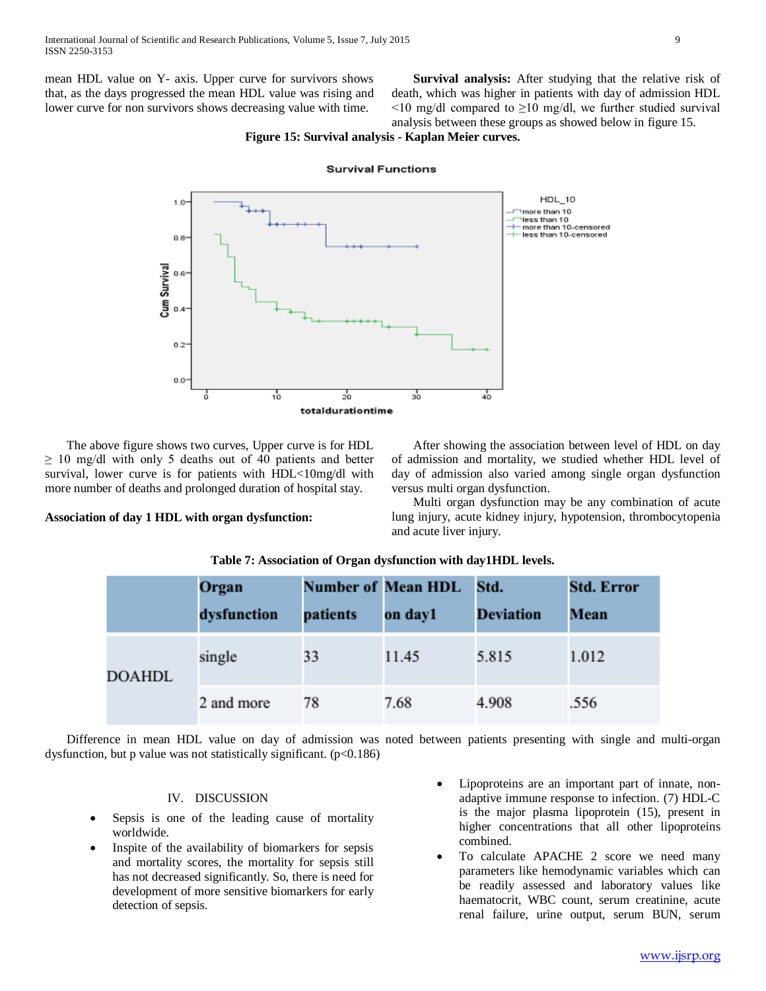mean HDL value on Y- axis. Upper curve for survivors shows that, as the days progressed the mean HDL value was rising and lower curve for non survivors shows decreasing value with time.

 **Survival analysis:** After studying that the relative risk of death, which was higher in patients with day of admission HDL  $\leq$ 10 mg/dl compared to  $\geq$ 10 mg/dl, we further studied survival analysis between these groups as showed below in figure 15.

## **Figure 15: Survival analysis - Kaplan Meier curves.**



**Survival Functions** 

 The above figure shows two curves, Upper curve is for HDL  $\geq$  10 mg/dl with only 5 deaths out of 40 patients and better survival, lower curve is for patients with HDL<10mg/dl with more number of deaths and prolonged duration of hospital stay.

**Association of day 1 HDL with organ dysfunction:**

 After showing the association between level of HDL on day of admission and mortality, we studied whether HDL level of day of admission also varied among single organ dysfunction versus multi organ dysfunction.

 Multi organ dysfunction may be any combination of acute lung injury, acute kidney injury, hypotension, thrombocytopenia and acute liver injury.

|               | Organ<br>dysfunction | patients | <b>Number of Mean HDL</b><br>on day1 | Std.<br><b>Deviation</b> | <b>Std. Error</b><br><b>Mean</b> |
|---------------|----------------------|----------|--------------------------------------|--------------------------|----------------------------------|
| <b>DOAHDL</b> | single               | 33       | 11.45                                | 5.815                    | 1.012                            |
|               | 2 and more           | 78       | 7.68                                 | 4.908                    | .556                             |

## **Table 7: Association of Organ dysfunction with day1HDL levels.**

 Difference in mean HDL value on day of admission was noted between patients presenting with single and multi-organ dysfunction, but p value was not statistically significant.  $(p<0.186)$ 

#### IV. DISCUSSION

- Sepsis is one of the leading cause of mortality worldwide.
- Inspite of the availability of biomarkers for sepsis and mortality scores, the mortality for sepsis still has not decreased significantly. So, there is need for development of more sensitive biomarkers for early detection of sepsis.
- Lipoproteins are an important part of innate, nonadaptive immune response to infection. (7) HDL-C is the major plasma lipoprotein (15), present in higher concentrations that all other lipoproteins combined.
- To calculate APACHE 2 score we need many parameters like hemodynamic variables which can be readily assessed and laboratory values like haematocrit, WBC count, serum creatinine, acute renal failure, urine output, serum BUN, serum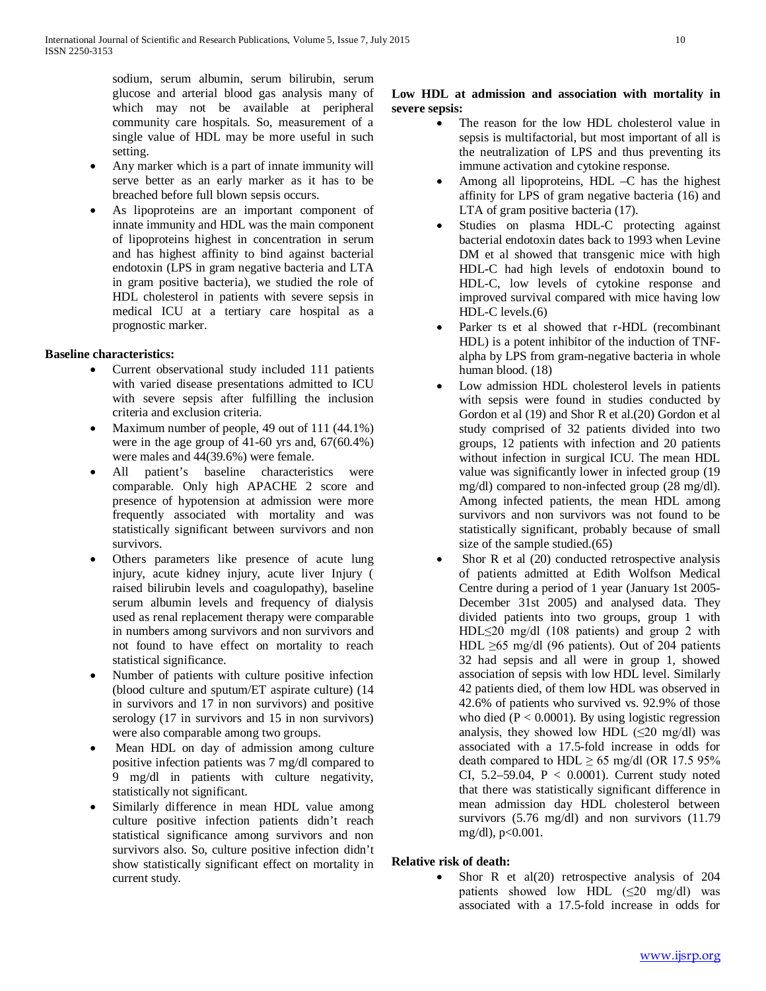sodium, serum albumin, serum bilirubin, serum glucose and arterial blood gas analysis many of which may not be available at peripheral community care hospitals. So, measurement of a single value of HDL may be more useful in such setting.

- Any marker which is a part of innate immunity will serve better as an early marker as it has to be breached before full blown sepsis occurs.
- As lipoproteins are an important component of innate immunity and HDL was the main component of lipoproteins highest in concentration in serum and has highest affinity to bind against bacterial endotoxin (LPS in gram negative bacteria and LTA in gram positive bacteria), we studied the role of HDL cholesterol in patients with severe sepsis in medical ICU at a tertiary care hospital as a prognostic marker.

## **Baseline characteristics:**

- Current observational study included 111 patients with varied disease presentations admitted to ICU with severe sepsis after fulfilling the inclusion criteria and exclusion criteria.
- Maximum number of people, 49 out of 111 (44.1%) were in the age group of 41-60 yrs and, 67(60.4%) were males and 44(39.6%) were female.
- All patient's baseline characteristics were comparable. Only high APACHE 2 score and presence of hypotension at admission were more frequently associated with mortality and was statistically significant between survivors and non survivors.
- Others parameters like presence of acute lung injury, acute kidney injury, acute liver Injury ( raised bilirubin levels and coagulopathy), baseline serum albumin levels and frequency of dialysis used as renal replacement therapy were comparable in numbers among survivors and non survivors and not found to have effect on mortality to reach statistical significance.
- Number of patients with culture positive infection (blood culture and sputum/ET aspirate culture) (14 in survivors and 17 in non survivors) and positive serology (17 in survivors and 15 in non survivors) were also comparable among two groups.
- Mean HDL on day of admission among culture positive infection patients was 7 mg/dl compared to 9 mg/dl in patients with culture negativity, statistically not significant.
- Similarly difference in mean HDL value among culture positive infection patients didn't reach statistical significance among survivors and non survivors also. So, culture positive infection didn't show statistically significant effect on mortality in current study.

## **Low HDL at admission and association with mortality in severe sepsis:**

- The reason for the low HDL cholesterol value in sepsis is multifactorial, but most important of all is the neutralization of LPS and thus preventing its immune activation and cytokine response.
- Among all lipoproteins, HDL –C has the highest affinity for LPS of gram negative bacteria (16) and LTA of gram positive bacteria (17).
- Studies on plasma HDL-C protecting against bacterial endotoxin dates back to 1993 when Levine DM et al showed that transgenic mice with high HDL-C had high levels of endotoxin bound to HDL-C, low levels of cytokine response and improved survival compared with mice having low HDL-C levels.(6)
- Parker ts et al showed that r-HDL (recombinant HDL) is a potent inhibitor of the induction of TNFalpha by LPS from gram-negative bacteria in whole human blood. (18)
- Low admission HDL cholesterol levels in patients with sepsis were found in studies conducted by Gordon et al (19) and Shor R et al.(20) Gordon et al study comprised of 32 patients divided into two groups, 12 patients with infection and 20 patients without infection in surgical ICU. The mean HDL value was significantly lower in infected group (19 mg/dl) compared to non-infected group (28 mg/dl). Among infected patients, the mean HDL among survivors and non survivors was not found to be statistically significant, probably because of small size of the sample studied.(65)
- Shor R et al  $(20)$  conducted retrospective analysis of patients admitted at Edith Wolfson Medical Centre during a period of 1 year (January 1st 2005- December 31st 2005) and analysed data. They divided patients into two groups, group 1 with HDL≤20 mg/dl (108 patients) and group 2 with HDL  $\geq$ 65 mg/dl (96 patients). Out of 204 patients 32 had sepsis and all were in group 1, showed association of sepsis with low HDL level. Similarly 42 patients died, of them low HDL was observed in 42.6% of patients who survived vs. 92.9% of those who died  $(P < 0.0001)$ . By using logistic regression analysis, they showed low HDL  $(\leq 20 \text{ mg/dl})$  was associated with a 17.5-fold increase in odds for death compared to HDL  $\geq$  65 mg/dl (OR 17.5 95%) CI,  $5.2-59.04$ ,  $P < 0.0001$ ). Current study noted that there was statistically significant difference in mean admission day HDL cholesterol between survivors (5.76 mg/dl) and non survivors (11.79 mg/dl), p<0.001.

## **Relative risk of death:**

Shor R et al $(20)$  retrospective analysis of 204 patients showed low HDL  $(\leq 20 \text{ mg/dl})$  was associated with a 17.5-fold increase in odds for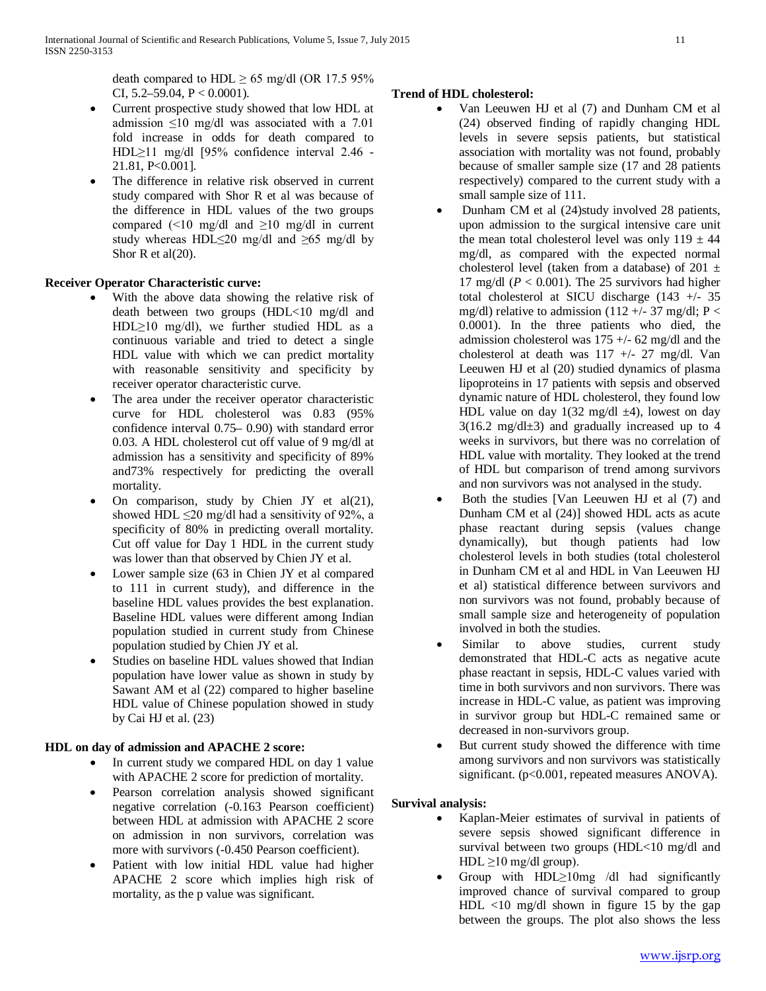death compared to HDL  $\geq$  65 mg/dl (OR 17.5 95%) CI,  $5.2 - 59.04$ ,  $P < 0.0001$ ).

- Current prospective study showed that low HDL at admission ≤10 mg/dl was associated with a 7.01 fold increase in odds for death compared to HDL≥11 mg/dl [95% confidence interval 2.46 - 21.81, P<0.001].
- The difference in relative risk observed in current study compared with Shor R et al was because of the difference in HDL values of the two groups compared (<10 mg/dl and  $\geq$ 10 mg/dl in current study whereas HDL≤20 mg/dl and ≥65 mg/dl by Shor R et al(20).

## **Receiver Operator Characteristic curve:**

- With the above data showing the relative risk of death between two groups (HDL<10 mg/dl and HDL≥10 mg/dl), we further studied HDL as a continuous variable and tried to detect a single HDL value with which we can predict mortality with reasonable sensitivity and specificity by receiver operator characteristic curve.
- The area under the receiver operator characteristic curve for HDL cholesterol was 0.83 (95% confidence interval 0.75– 0.90) with standard error 0.03. A HDL cholesterol cut off value of 9 mg/dl at admission has a sensitivity and specificity of 89% and73% respectively for predicting the overall mortality.
- On comparison, study by Chien JY et al(21), showed HDL  $\leq$ 20 mg/dl had a sensitivity of 92%, a specificity of 80% in predicting overall mortality. Cut off value for Day 1 HDL in the current study was lower than that observed by Chien JY et al.
- Lower sample size (63 in Chien JY et al compared to 111 in current study), and difference in the baseline HDL values provides the best explanation. Baseline HDL values were different among Indian population studied in current study from Chinese population studied by Chien JY et al.
- Studies on baseline HDL values showed that Indian population have lower value as shown in study by Sawant AM et al (22) compared to higher baseline HDL value of Chinese population showed in study by Cai HJ et al. (23)

## **HDL on day of admission and APACHE 2 score:**

- In current study we compared HDL on day 1 value with APACHE 2 score for prediction of mortality.
- Pearson correlation analysis showed significant negative correlation (-0.163 Pearson coefficient) between HDL at admission with APACHE 2 score on admission in non survivors, correlation was more with survivors (-0.450 Pearson coefficient).
- Patient with low initial HDL value had higher APACHE 2 score which implies high risk of mortality, as the p value was significant.

## **Trend of HDL cholesterol:**

- Van Leeuwen HJ et al (7) and Dunham CM et al (24) observed finding of rapidly changing HDL levels in severe sepsis patients, but statistical association with mortality was not found, probably because of smaller sample size (17 and 28 patients respectively) compared to the current study with a small sample size of 111.
- Dunham CM et al (24)study involved 28 patients, upon admission to the surgical intensive care unit the mean total cholesterol level was only  $119 \pm 44$ mg/dl, as compared with the expected normal cholesterol level (taken from a database) of 201  $\pm$ 17 mg/dl  $(P < 0.001)$ . The 25 survivors had higher total cholesterol at SICU discharge (143 +/- 35 mg/dl) relative to admission (112 +/- 37 mg/dl; P < 0.0001). In the three patients who died, the admission cholesterol was  $175 + (-62 \text{ mg/d})$  and the cholesterol at death was 117 +/- 27 mg/dl. Van Leeuwen HJ et al (20) studied dynamics of plasma lipoproteins in 17 patients with sepsis and observed dynamic nature of HDL cholesterol, they found low HDL value on day  $1(32 \text{ mg/dl } \pm 4)$ , lowest on day  $3(16.2 \text{ mg/dl} \pm 3)$  and gradually increased up to 4 weeks in survivors, but there was no correlation of HDL value with mortality. They looked at the trend of HDL but comparison of trend among survivors and non survivors was not analysed in the study.
- Both the studies [Van Leeuwen HJ et al (7) and Dunham CM et al (24)] showed HDL acts as acute phase reactant during sepsis (values change dynamically), but though patients had low cholesterol levels in both studies (total cholesterol in Dunham CM et al and HDL in Van Leeuwen HJ et al) statistical difference between survivors and non survivors was not found, probably because of small sample size and heterogeneity of population involved in both the studies.
- Similar to above studies, current study demonstrated that HDL-C acts as negative acute phase reactant in sepsis, HDL-C values varied with time in both survivors and non survivors. There was increase in HDL-C value, as patient was improving in survivor group but HDL-C remained same or decreased in non-survivors group.
- But current study showed the difference with time among survivors and non survivors was statistically significant. (p<0.001, repeated measures ANOVA).

## **Survival analysis:**

- Kaplan-Meier estimates of survival in patients of severe sepsis showed significant difference in survival between two groups (HDL<10 mg/dl and HDL  $\geq$ 10 mg/dl group).
- Group with  $HDL \geq 10mg$  /dl had significantly improved chance of survival compared to group HDL <10 mg/dl shown in figure 15 by the gap between the groups. The plot also shows the less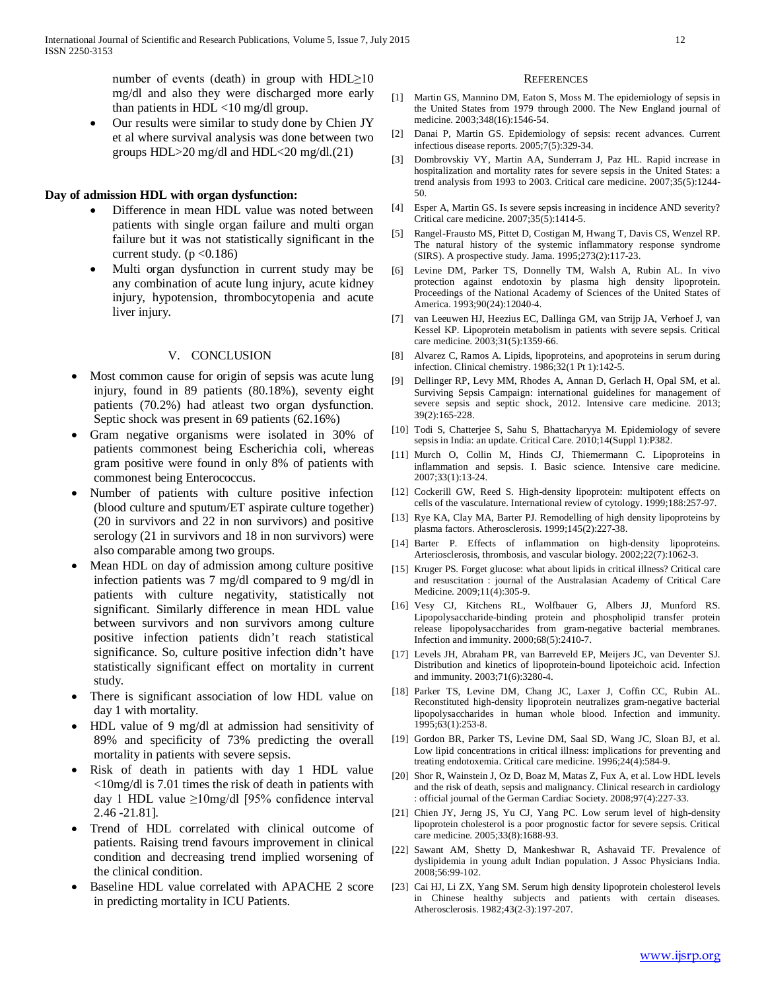number of events (death) in group with  $HDL \ge 10$ mg/dl and also they were discharged more early than patients in HDL <10 mg/dl group.

Our results were similar to study done by Chien JY et al where survival analysis was done between two groups HDL>20 mg/dl and HDL<20 mg/dl.(21)

#### **Day of admission HDL with organ dysfunction:**

- Difference in mean HDL value was noted between patients with single organ failure and multi organ failure but it was not statistically significant in the current study.  $(p < 0.186)$
- Multi organ dysfunction in current study may be any combination of acute lung injury, acute kidney injury, hypotension, thrombocytopenia and acute liver injury.

#### V. CONCLUSION

- Most common cause for origin of sepsis was acute lung injury, found in 89 patients (80.18%), seventy eight patients (70.2%) had atleast two organ dysfunction. Septic shock was present in 69 patients (62.16%)
- Gram negative organisms were isolated in 30% of patients commonest being Escherichia coli, whereas gram positive were found in only 8% of patients with commonest being Enterococcus.
- Number of patients with culture positive infection (blood culture and sputum/ET aspirate culture together) (20 in survivors and 22 in non survivors) and positive serology (21 in survivors and 18 in non survivors) were also comparable among two groups.
- Mean HDL on day of admission among culture positive infection patients was 7 mg/dl compared to 9 mg/dl in patients with culture negativity, statistically not significant. Similarly difference in mean HDL value between survivors and non survivors among culture positive infection patients didn't reach statistical significance. So, culture positive infection didn't have statistically significant effect on mortality in current study.
- There is significant association of low HDL value on day 1 with mortality.
- HDL value of 9 mg/dl at admission had sensitivity of 89% and specificity of 73% predicting the overall mortality in patients with severe sepsis.
- Risk of death in patients with day 1 HDL value <10mg/dl is 7.01 times the risk of death in patients with day 1 HDL value ≥10mg/dl [95% confidence interval 2.46 -21.81].
- Trend of HDL correlated with clinical outcome of patients. Raising trend favours improvement in clinical condition and decreasing trend implied worsening of the clinical condition.
- Baseline HDL value correlated with APACHE 2 score in predicting mortality in ICU Patients.

#### **REFERENCES**

- [1] Martin GS, Mannino DM, Eaton S, Moss M. The epidemiology of sepsis in the United States from 1979 through 2000. The New England journal of medicine. 2003;348(16):1546-54.
- [2] Danai P, Martin GS. Epidemiology of sepsis: recent advances. Current infectious disease reports. 2005;7(5):329-34.
- [3] Dombrovskiy VY, Martin AA, Sunderram J, Paz HL. Rapid increase in hospitalization and mortality rates for severe sepsis in the United States: a trend analysis from 1993 to 2003. Critical care medicine. 2007;35(5):1244- 50.
- [4] Esper A, Martin GS. Is severe sepsis increasing in incidence AND severity? Critical care medicine. 2007;35(5):1414-5.
- [5] Rangel-Frausto MS, Pittet D, Costigan M, Hwang T, Davis CS, Wenzel RP. The natural history of the systemic inflammatory response syndrome (SIRS). A prospective study. Jama. 1995;273(2):117-23.
- [6] Levine DM, Parker TS, Donnelly TM, Walsh A, Rubin AL. In vivo protection against endotoxin by plasma high density lipoprotein. Proceedings of the National Academy of Sciences of the United States of America. 1993;90(24):12040-4.
- [7] van Leeuwen HJ, Heezius EC, Dallinga GM, van Strijp JA, Verhoef J, van Kessel KP. Lipoprotein metabolism in patients with severe sepsis. Critical care medicine. 2003;31(5):1359-66.
- [8] Alvarez C, Ramos A. Lipids, lipoproteins, and apoproteins in serum during infection. Clinical chemistry. 1986;32(1 Pt 1):142-5.
- [9] Dellinger RP, Levy MM, Rhodes A, Annan D, Gerlach H, Opal SM, et al. Surviving Sepsis Campaign: international guidelines for management of severe sepsis and septic shock, 2012. Intensive care medicine. 2013; 39(2):165-228.
- [10] Todi S, Chatterjee S, Sahu S, Bhattacharyya M. Epidemiology of severe sepsis in India: an update. Critical Care. 2010;14(Suppl 1):P382.
- [11] Murch O, Collin M, Hinds CJ, Thiemermann C. Lipoproteins in inflammation and sepsis. I. Basic science. Intensive care medicine. 2007;33(1):13-24.
- [12] Cockerill GW, Reed S. High-density lipoprotein: multipotent effects on cells of the vasculature. International review of cytology. 1999;188:257-97.
- [13] Rye KA, Clay MA, Barter PJ. Remodelling of high density lipoproteins by plasma factors. Atherosclerosis. 1999;145(2):227-38.
- [14] Barter P. Effects of inflammation on high-density lipoproteins. Arteriosclerosis, thrombosis, and vascular biology. 2002;22(7):1062-3.
- [15] Kruger PS. Forget glucose: what about lipids in critical illness? Critical care and resuscitation : journal of the Australasian Academy of Critical Care Medicine. 2009;11(4):305-9.
- [16] Vesy CJ, Kitchens RL, Wolfbauer G, Albers JJ, Munford RS. Lipopolysaccharide-binding protein and phospholipid transfer protein release lipopolysaccharides from gram-negative bacterial membranes. Infection and immunity. 2000;68(5):2410-7.
- [17] Levels JH, Abraham PR, van Barreveld EP, Meijers JC, van Deventer SJ. Distribution and kinetics of lipoprotein-bound lipoteichoic acid. Infection and immunity. 2003;71(6):3280-4.
- [18] Parker TS, Levine DM, Chang JC, Laxer J, Coffin CC, Rubin AL. Reconstituted high-density lipoprotein neutralizes gram-negative bacterial lipopolysaccharides in human whole blood. Infection and immunity. 1995;63(1):253-8.
- [19] Gordon BR, Parker TS, Levine DM, Saal SD, Wang JC, Sloan BJ, et al. Low lipid concentrations in critical illness: implications for preventing and treating endotoxemia. Critical care medicine. 1996;24(4):584-9.
- [20] Shor R, Wainstein J, Oz D, Boaz M, Matas Z, Fux A, et al. Low HDL levels and the risk of death, sepsis and malignancy. Clinical research in cardiology : official journal of the German Cardiac Society. 2008;97(4):227-33.
- [21] Chien JY, Jerng JS, Yu CJ, Yang PC. Low serum level of high-density lipoprotein cholesterol is a poor prognostic factor for severe sepsis. Critical care medicine. 2005;33(8):1688-93.
- [22] Sawant AM, Shetty D, Mankeshwar R, Ashavaid TF. Prevalence of dyslipidemia in young adult Indian population. J Assoc Physicians India. 2008;56:99-102.
- [23] Cai HJ, Li ZX, Yang SM. Serum high density lipoprotein cholesterol levels in Chinese healthy subjects and patients with certain diseases. Atherosclerosis. 1982;43(2-3):197-207.